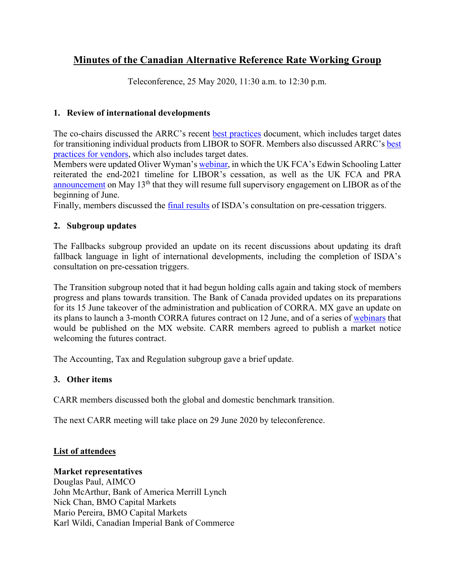# **Minutes of the Canadian Alternative Reference Rate Working Group**

Teleconference, 25 May 2020, 11:30 a.m. to 12:30 p.m.

### **1. Review of international developments**

The co-chairs discussed the ARRC's recent [best practices](https://www.newyorkfed.org/medialibrary/Microsites/arrc/files/2020/ARRC-Best-Practices.pdf) document, which includes target dates for transitioning individual products from LIBOR to SOFR. Members also discussed ARRC'[s best](https://www.newyorkfed.org/medialibrary/Microsites/arrc/files/2020/ARRC-Vendor-Recommended-Best-Practices.pdf)  [practices for vendors,](https://www.newyorkfed.org/medialibrary/Microsites/arrc/files/2020/ARRC-Vendor-Recommended-Best-Practices.pdf) which also includes target dates.

Members were updated Oliver Wyman's [webinar,](https://www.oliverwyman.com/our-expertise/events/2020/may/libor-transition-views-from-the-uk-financial-conduct-authority.html) in which the UK FCA's Edwin Schooling Latter reiterated the end-2021 timeline for LIBOR's cessation, as well as the UK FCA and PRA [announcement](https://www.fca.org.uk/news/statements/further-statement-rfrwg-impact-coronavirus-timeline-firms-libor-transition-plans) on May 13<sup>th</sup> that they will resume full supervisory engagement on LIBOR as of the beginning of June.

Finally, members discussed the [final results](http://assets.isda.org/media/e0b1bac2/04397355-pdf/) of ISDA's consultation on pre-cessation triggers.

## **2. Subgroup updates**

The Fallbacks subgroup provided an update on its recent discussions about updating its draft fallback language in light of international developments, including the completion of ISDA's consultation on pre-cessation triggers.

The Transition subgroup noted that it had begun holding calls again and taking stock of members progress and plans towards transition. The Bank of Canada provided updates on its preparations for its 15 June takeover of the administration and publication of CORRA. MX gave an update on its plans to launch a 3-month CORRA futures contract on 12 June, and of a series of [webinars](https://app.tmx.com/corra/) that would be published on the MX website. CARR members agreed to publish a market notice welcoming the futures contract.

The Accounting, Tax and Regulation subgroup gave a brief update.

## **3. Other items**

CARR members discussed both the global and domestic benchmark transition.

The next CARR meeting will take place on 29 June 2020 by teleconference.

#### **List of attendees**

#### **Market representatives**

Douglas Paul, AIMCO John McArthur, Bank of America Merrill Lynch Nick Chan, BMO Capital Markets Mario Pereira, BMO Capital Markets Karl Wildi, Canadian Imperial Bank of Commerce